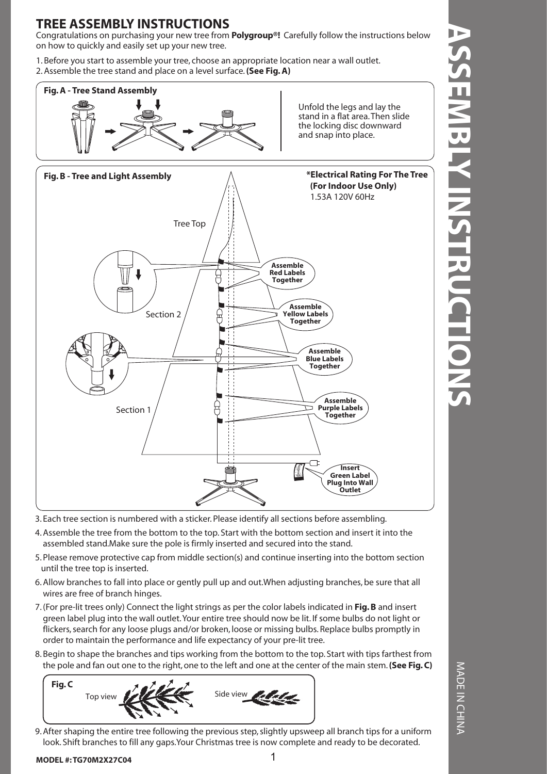### **TREE ASSEMBLY INSTRUCTIONS**

Congratulations on purchasing your new tree from **Polygroup®!** Carefully follow the instructions below on how to quickly and easily set up your new tree.

1. Before you start to assemble your tree, choose an appropriate location near a wall outlet. 2. Assemble the tree stand and place on a level surface. **(See Fig. A)**



3. Each tree section is numbered with a sticker. Please identify all sections before assembling.

- 4. Assemble the tree from the bottom to the top. Start with the bottom section and insert it into the assembled stand.Make sure the pole is firmly inserted and secured into the stand.
- 5. Please remove protective cap from middle section(s) and continue inserting into the bottom section until the tree top is inserted.
- 6. Allow branches to fall into place or gently pull up and out.When adjusting branches, be sure that all wires are free of branch hinges.
- 7. (For pre-lit trees only) Connect the light strings as per the color labels indicated in **Fig. B** and insert green label plug into the wall outlet. Your entire tree should now be lit. If some bulbs do not light or flickers, search for any loose plugs and/or broken, loose or missing bulbs. Replace bulbs promptly in order to maintain the performance and life expectancy of your pre-lit tree.
- 8. Begin to shape the branches and tips working from the bottom to the top. Start with tips farthest from the pole and fan out one to the right, one to the left and one at the center of the main stem. **(See Fig. C)**



9. After shaping the entire tree following the previous step, slightly upsweep all branch tips for a uniform look. Shift branches to fill any gaps.Your Christmas tree is now complete and ready to be decorated.

**Plug Into Wall Outlet**